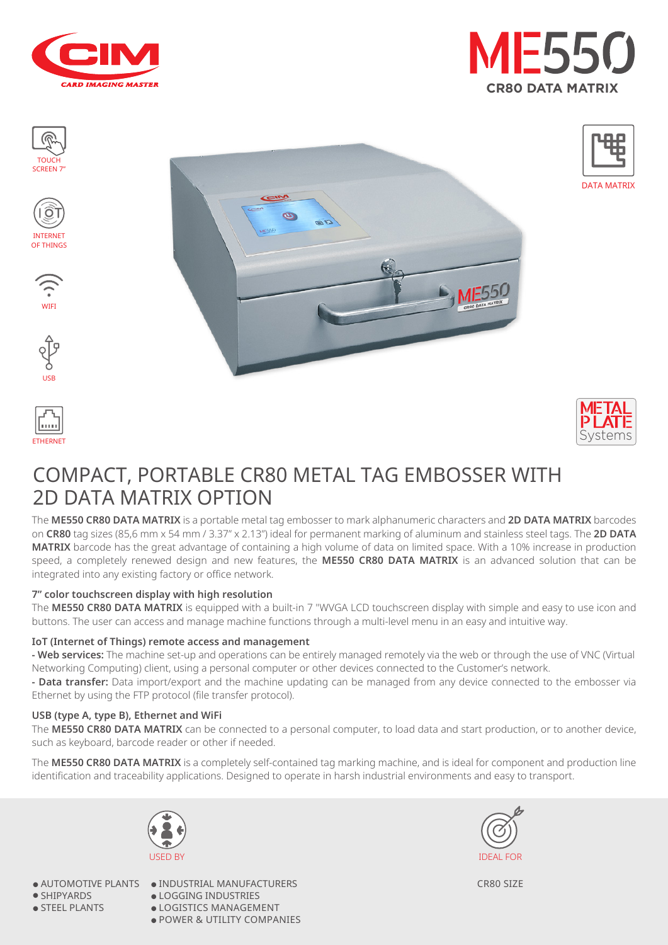

















DATA MATRIX

## COMPACT, PORTABLE CR80 METAL TAG EMBOSSER WITH 2D DATA MATRIX OPTION

The **ME550 CR80 DATA MATRIX** is a portable metal tag embosser to mark alphanumeric characters and **2D DATA MATRIX** barcodes on **CR80** tag sizes (85,6 mm x 54 mm / 3.37" x 2.13") ideal for permanent marking of aluminum and stainless steel tags. The **2D DATA MATRIX** barcode has the great advantage of containing a high volume of data on limited space. With a 10% increase in production speed, a completely renewed design and new features, the **ME550 CR80 DATA MATRIX** is an advanced solution that can be integrated into any existing factory or office network.

#### **7" color touchscreen display with high resolution**

The **ME550 CR80 DATA MATRIX** is equipped with a built-in 7 "WVGA LCD touchscreen display with simple and easy to use icon and buttons. The user can access and manage machine functions through a multi-level menu in an easy and intuitive way.

#### **IoT (Internet of Things) remote access and management**

**- Web services:** The machine set-up and operations can be entirely managed remotely via the web or through the use of VNC (Virtual Networking Computing) client, using a personal computer or other devices connected to the Customer's network.

**- Data transfer:** Data import/export and the machine updating can be managed from any device connected to the embosser via Ethernet by using the FTP protocol (file transfer protocol).

#### **USB (type A, type B), Ethernet and WiFi**

The **ME550 CR80 DATA MATRIX** can be connected to a personal computer, to load data and start production, or to another device, such as keyboard, barcode reader or other if needed.

The **ME550 CR80 DATA MATRIX** is a completely self-contained tag marking machine, and is ideal for component and production line identification and traceability applications. Designed to operate in harsh industrial environments and easy to transport.



● AUTOMOTIVE PLANTS

● SHIPYARDS

● STEEL PLANTS

 $\bullet$  INDUSTRIAL MANUFACTURERS ● LOGGING INDUSTRIES  $\bullet$  LOGISTICS MANAGEMENT ● POWER & UTILITY COMPANIES



CR80 SIZE